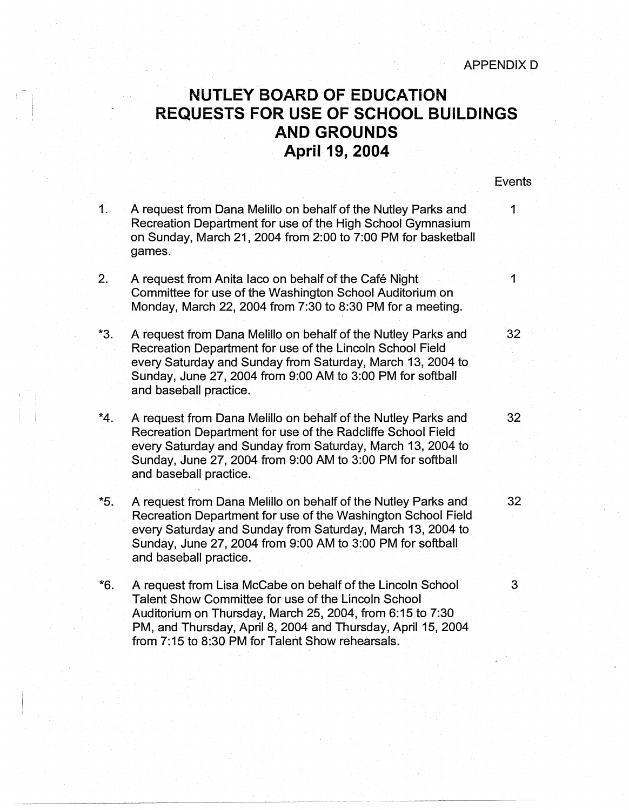## **NUTLEY BOARD OF EDUCATION REQUESTS FOR USE OF SCHOOL BUILDINGS AND GROUNDS April 19, 2004**

## **Events**

1. A request from Dana Melillo on behalf of the Nutley Parks and 1 Recreation Department for use of the High School Gymnasium on Sunday, March 21, 2004 from 2:00 to 7:00 PM for basketball games. 2. A request from Anita Iaco on behalf of the Café Night Committee for use of the Washington School Auditorium on Monday, March 22, 2004 from 7:30 to 8:30 PM for a meeting. \*3. A request from Dana Melillo on behalf of the Nutley Parks and 32 Recreation Department for use of the Lincoln School Field every Saturday and Sunday from Saturday, March 13, 2004 to Sunday, June 27, 2004 from 9:00 AM to 3:00 PM for softball and baseball practice. \*4. A request from Dana Melillo on behalf of the Nutley Parks and 32 Recreation Department for use of the Radcliffe School Field every Saturday and Sunday from Saturday, March 13, 2004 to Sunday, June 27, 2004 from 9:00 AM to 3:00 PM for softball and baseball practice. \*5. A request from Dana Melillo on behalf of the Nutley Parks and 32 Recreation Department for use of the Washington School Field every Saturday and Sunday from Saturday, March 13, 2004 to Sunday, June 27, 2004 from 9:00 AM to 3:00 PM for softball and baseball practice. \*6. A request from Lisa McCabe on behalf of the Lincoln School 3 Talent Show Committee for use of the Lincoln School Auditorium on Thursday, March 25, 2004, from 6:15 to 7:30 PM, and Thursday, April 8, 2004 and Thursday, April 15, 2004

from 7: 15 to 8:30 PM for Talent Show rehearsals.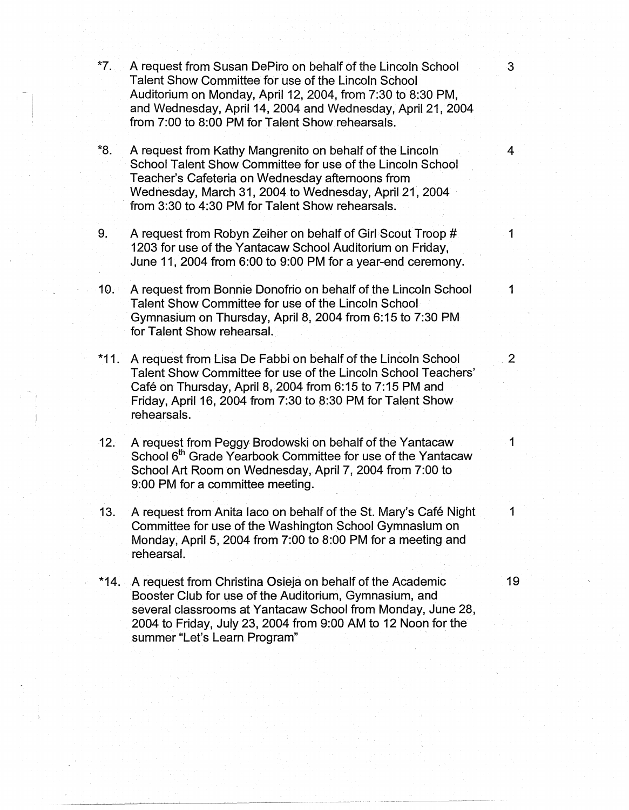\*7. A request from Susan DePiro on behalf of the Lincoln School 3 Talent Show Committee for use of the Lincoln School Auditorium on Monday, April 12, 2004, from 7:30 to 8:30 PM, and Wednesday, April 14, 2004 and Wednesday, April 21, 2004 from 7:00 to 8:00 PM for Talent Show rehearsals. \*8. A request from Kathy Mangrenito on behalf of the Lincoln 4 School Talent Show Committee for use of the Lincoln School Teacher's Cafeteria on Wednesday afternoons from Wednesday, March 31, 2004 to Wednesday, April 21, 2004 from 3:30 to 4:30 PM for Talent Show rehearsals. 9. A request from Robyn Zeiher on behalf of Girl Scout Troop # 1 1203 for use of the Yantacaw School Auditorium on Friday, June 11, 2004 from 6:00 to 9:00 PM for a year-end ceremony. 10. A request from Bonnie Donofrio on behalf of the Lincoln School 1 Talent Show Committee for use of the Lincoln School Gymnasium on Thursday, April 8, 2004 from 6:15 to 7:30 PM for Talent Show rehearsal. \*11. A request from Lisa De Fabbi on behalf of the Lincoln School 2 Talent Show Committee for use of the Lincoln School Teachers' Café on Thursday, April 8, 2004 from 6:15 to 7:15 PM and Friday, April 16, 2004 from 7:30 to 8:30 PM for Talent Show rehearsals. 12. A request from Peggy Brodowski on behalf of the Yantacaw 1 School 6<sup>th</sup> Grade Yearbook Committee for use of the Yantacaw School Art Room on Wednesday, April 7, 2004 from 7:00 to 9:00 PM for a committee meeting. 13. A request from Anita laco on behalf of the St. Mary's Café Night 1 Committee for use of the Washington School Gymnasium on Monday, April 5, 2004 from 7:00 to 8:00 PM for a meeting and rehearsal. \*14. A request from Christina Osieja on behalf of the Academic 19 Booster Club for use of the Auditorium, Gymnasium, and several classrooms at Yantacaw School from Monday, June 28,

2004 to Friday, July 23, 2004 from 9:00 AM to 12 Noon for the

summer "Let's Learn Program"